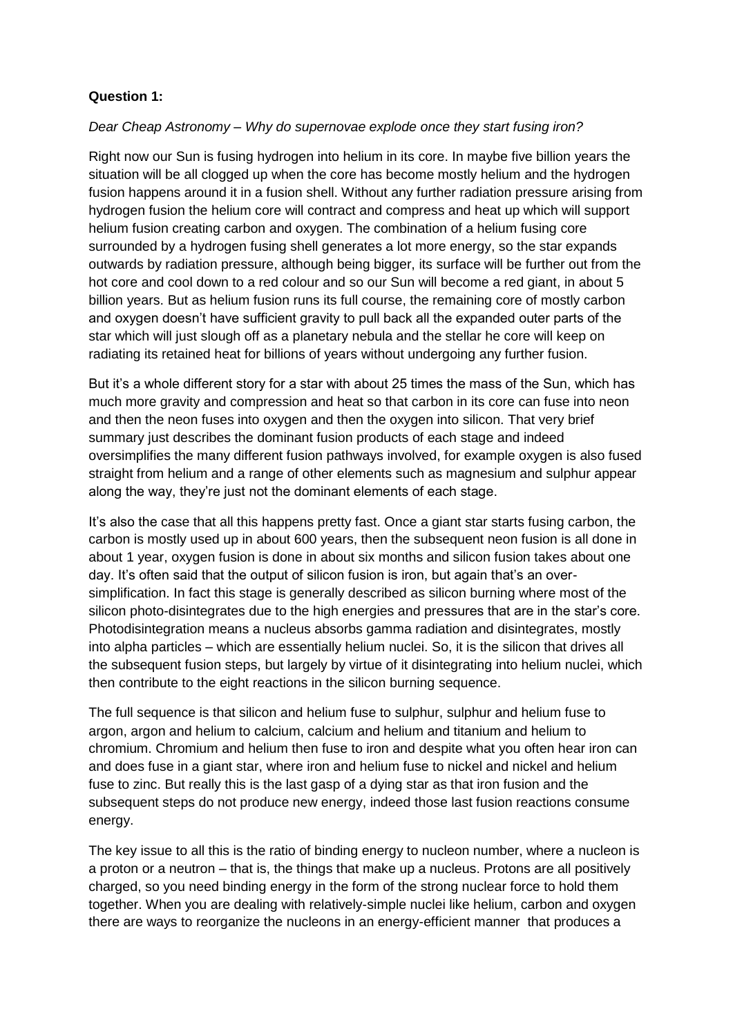## **Question 1:**

## *Dear Cheap Astronomy – Why do supernovae explode once they start fusing iron?*

Right now our Sun is fusing hydrogen into helium in its core. In maybe five billion years the situation will be all clogged up when the core has become mostly helium and the hydrogen fusion happens around it in a fusion shell. Without any further radiation pressure arising from hydrogen fusion the helium core will contract and compress and heat up which will support helium fusion creating carbon and oxygen. The combination of a helium fusing core surrounded by a hydrogen fusing shell generates a lot more energy, so the star expands outwards by radiation pressure, although being bigger, its surface will be further out from the hot core and cool down to a red colour and so our Sun will become a red giant, in about 5 billion years. But as helium fusion runs its full course, the remaining core of mostly carbon and oxygen doesn't have sufficient gravity to pull back all the expanded outer parts of the star which will just slough off as a planetary nebula and the stellar he core will keep on radiating its retained heat for billions of years without undergoing any further fusion.

But it's a whole different story for a star with about 25 times the mass of the Sun, which has much more gravity and compression and heat so that carbon in its core can fuse into neon and then the neon fuses into oxygen and then the oxygen into silicon. That very brief summary just describes the dominant fusion products of each stage and indeed oversimplifies the many different fusion pathways involved, for example oxygen is also fused straight from helium and a range of other elements such as magnesium and sulphur appear along the way, they're just not the dominant elements of each stage.

It's also the case that all this happens pretty fast. Once a giant star starts fusing carbon, the carbon is mostly used up in about 600 years, then the subsequent neon fusion is all done in about 1 year, oxygen fusion is done in about six months and silicon fusion takes about one day. It's often said that the output of silicon fusion is iron, but again that's an oversimplification. In fact this stage is generally described as silicon burning where most of the silicon photo-disintegrates due to the high energies and pressures that are in the star's core. Photodisintegration means a nucleus absorbs gamma radiation and disintegrates, mostly into alpha particles – which are essentially helium nuclei. So, it is the silicon that drives all the subsequent fusion steps, but largely by virtue of it disintegrating into helium nuclei, which then contribute to the eight reactions in the silicon burning sequence.

The full sequence is that silicon and helium fuse to sulphur, sulphur and helium fuse to argon, argon and helium to calcium, calcium and helium and titanium and helium to chromium. Chromium and helium then fuse to iron and despite what you often hear iron can and does fuse in a giant star, where iron and helium fuse to nickel and nickel and helium fuse to zinc. But really this is the last gasp of a dying star as that iron fusion and the subsequent steps do not produce new energy, indeed those last fusion reactions consume energy.

The key issue to all this is the ratio of binding energy to nucleon number, where a nucleon is a proton or a neutron – that is, the things that make up a nucleus. Protons are all positively charged, so you need binding energy in the form of the strong nuclear force to hold them together. When you are dealing with relatively-simple nuclei like helium, carbon and oxygen there are ways to reorganize the nucleons in an energy-efficient manner that produces a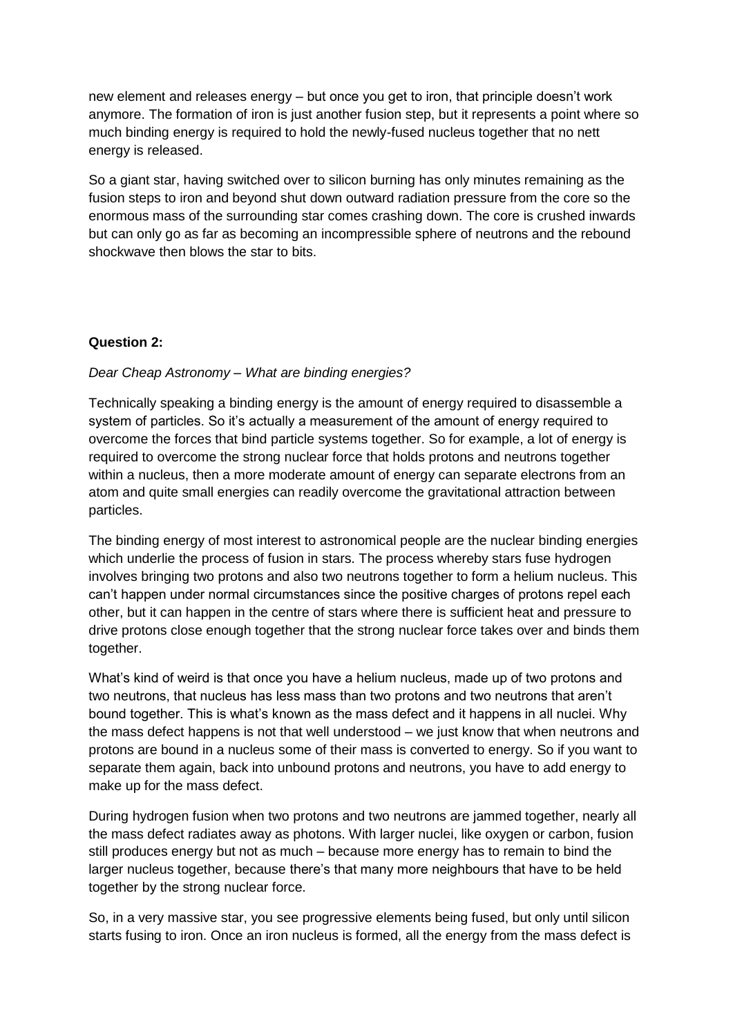new element and releases energy – but once you get to iron, that principle doesn't work anymore. The formation of iron is just another fusion step, but it represents a point where so much binding energy is required to hold the newly-fused nucleus together that no nett energy is released.

So a giant star, having switched over to silicon burning has only minutes remaining as the fusion steps to iron and beyond shut down outward radiation pressure from the core so the enormous mass of the surrounding star comes crashing down. The core is crushed inwards but can only go as far as becoming an incompressible sphere of neutrons and the rebound shockwave then blows the star to bits.

## **Question 2:**

## *Dear Cheap Astronomy – What are binding energies?*

Technically speaking a binding energy is the amount of energy required to disassemble a system of particles. So it's actually a measurement of the amount of energy required to overcome the forces that bind particle systems together. So for example, a lot of energy is required to overcome the strong nuclear force that holds protons and neutrons together within a nucleus, then a more moderate amount of energy can separate electrons from an atom and quite small energies can readily overcome the gravitational attraction between particles.

The binding energy of most interest to astronomical people are the nuclear binding energies which underlie the process of fusion in stars. The process whereby stars fuse hydrogen involves bringing two protons and also two neutrons together to form a helium nucleus. This can't happen under normal circumstances since the positive charges of protons repel each other, but it can happen in the centre of stars where there is sufficient heat and pressure to drive protons close enough together that the strong nuclear force takes over and binds them together.

What's kind of weird is that once you have a helium nucleus, made up of two protons and two neutrons, that nucleus has less mass than two protons and two neutrons that aren't bound together. This is what's known as the mass defect and it happens in all nuclei. Why the mass defect happens is not that well understood – we just know that when neutrons and protons are bound in a nucleus some of their mass is converted to energy. So if you want to separate them again, back into unbound protons and neutrons, you have to add energy to make up for the mass defect.

During hydrogen fusion when two protons and two neutrons are jammed together, nearly all the mass defect radiates away as photons. With larger nuclei, like oxygen or carbon, fusion still produces energy but not as much – because more energy has to remain to bind the larger nucleus together, because there's that many more neighbours that have to be held together by the strong nuclear force.

So, in a very massive star, you see progressive elements being fused, but only until silicon starts fusing to iron. Once an iron nucleus is formed, all the energy from the mass defect is